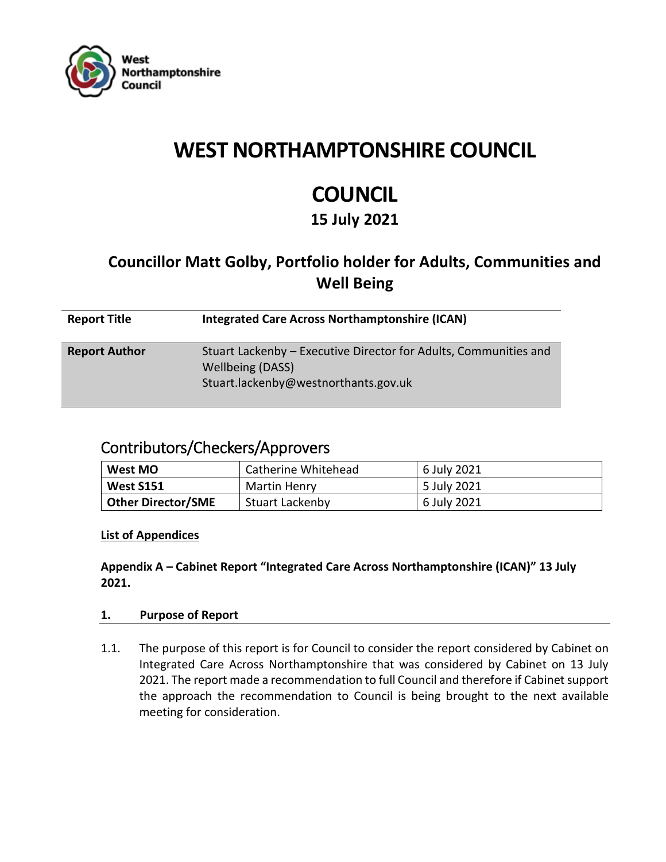

# **WEST NORTHAMPTONSHIRE COUNCIL**

# **COUNCIL**

### **15 July 2021**

## **Councillor Matt Golby, Portfolio holder for Adults, Communities and Well Being**

| <b>Report Title</b>  | <b>Integrated Care Across Northamptonshire (ICAN)</b>                                                                               |
|----------------------|-------------------------------------------------------------------------------------------------------------------------------------|
| <b>Report Author</b> | Stuart Lackenby – Executive Director for Adults, Communities and<br><b>Wellbeing (DASS)</b><br>Stuart.lackenby@westnorthants.gov.uk |

### Contributors/Checkers/Approvers

| West MO                   | Catherine Whitehead    | 6 July 2021 |
|---------------------------|------------------------|-------------|
| <b>West S151</b>          | Martin Henry           | 5 July 2021 |
| <b>Other Director/SME</b> | <b>Stuart Lackenby</b> | 6 July 2021 |

**List of Appendices**

**Appendix A – Cabinet Report "Integrated Care Across Northamptonshire (ICAN)" 13 July 2021.**

#### **1. Purpose of Report**

1.1. The purpose of this report is for Council to consider the report considered by Cabinet on Integrated Care Across Northamptonshire that was considered by Cabinet on 13 July 2021. The report made a recommendation to full Council and therefore if Cabinet support the approach the recommendation to Council is being brought to the next available meeting for consideration.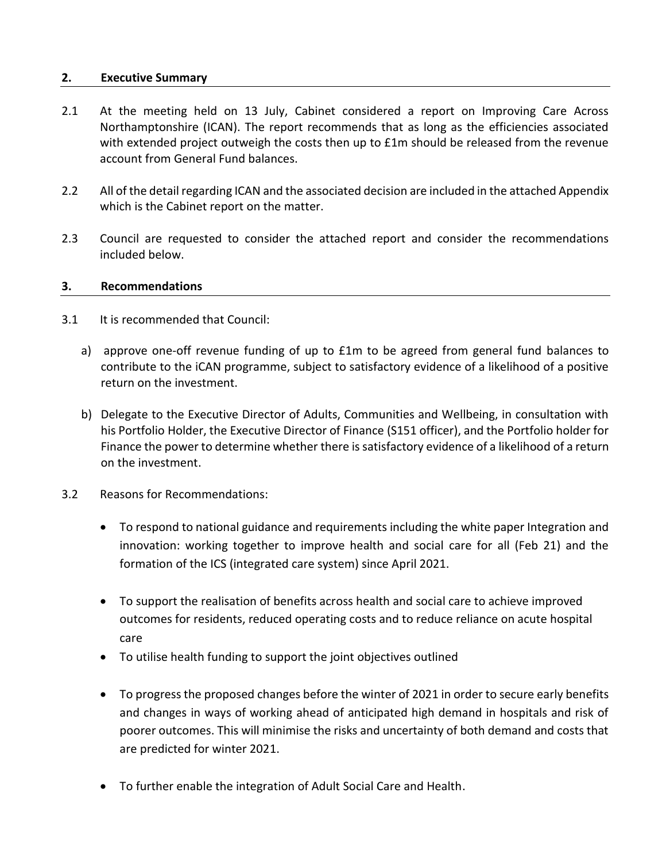#### **2. Executive Summary**

- 2.1 At the meeting held on 13 July, Cabinet considered a report on Improving Care Across Northamptonshire (ICAN). The report recommends that as long as the efficiencies associated with extended project outweigh the costs then up to £1m should be released from the revenue account from General Fund balances.
- 2.2 All of the detail regarding ICAN and the associated decision are included in the attached Appendix which is the Cabinet report on the matter.
- 2.3 Council are requested to consider the attached report and consider the recommendations included below.

#### **3. Recommendations**

- 3.1 It is recommended that Council:
	- a) approve one-off revenue funding of up to £1m to be agreed from general fund balances to contribute to the iCAN programme, subject to satisfactory evidence of a likelihood of a positive return on the investment.
	- b) Delegate to the Executive Director of Adults, Communities and Wellbeing, in consultation with his Portfolio Holder, the Executive Director of Finance (S151 officer), and the Portfolio holder for Finance the power to determine whether there is satisfactory evidence of a likelihood of a return on the investment.
- 3.2 Reasons for Recommendations:
	- To respond to national guidance and requirements including the white paper Integration and innovation: working together to improve health and social care for all (Feb 21) and the formation of the ICS (integrated care system) since April 2021.
	- To support the realisation of benefits across health and social care to achieve improved outcomes for residents, reduced operating costs and to reduce reliance on acute hospital care
	- To utilise health funding to support the joint objectives outlined
	- To progress the proposed changes before the winter of 2021 in order to secure early benefits and changes in ways of working ahead of anticipated high demand in hospitals and risk of poorer outcomes. This will minimise the risks and uncertainty of both demand and costs that are predicted for winter 2021.
	- To further enable the integration of Adult Social Care and Health.